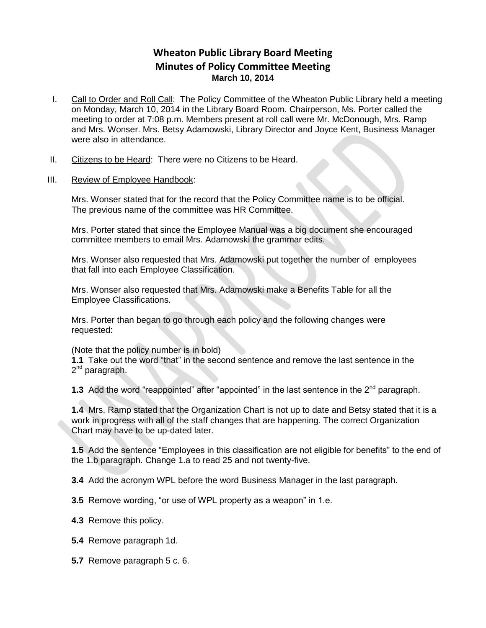## **Wheaton Public Library Board Meeting Minutes of Policy Committee Meeting March 10, 2014**

- I. Call to Order and Roll Call: The Policy Committee of the Wheaton Public Library held a meeting on Monday, March 10, 2014 in the Library Board Room. Chairperson, Ms. Porter called the meeting to order at 7:08 p.m. Members present at roll call were Mr. McDonough, Mrs. Ramp and Mrs. Wonser. Mrs. Betsy Adamowski, Library Director and Joyce Kent, Business Manager were also in attendance.
- II. Citizens to be Heard: There were no Citizens to be Heard.

## III. Review of Employee Handbook:

Mrs. Wonser stated that for the record that the Policy Committee name is to be official. The previous name of the committee was HR Committee.

Mrs. Porter stated that since the Employee Manual was a big document she encouraged committee members to email Mrs. Adamowski the grammar edits.

Mrs. Wonser also requested that Mrs. Adamowski put together the number of employees that fall into each Employee Classification.

Mrs. Wonser also requested that Mrs. Adamowski make a Benefits Table for all the Employee Classifications.

Mrs. Porter than began to go through each policy and the following changes were requested:

(Note that the policy number is in bold)

**1.1** Take out the word "that" in the second sentence and remove the last sentence in the 2<sup>nd</sup> paragraph.

**1.3** Add the word "reappointed" after "appointed" in the last sentence in the 2<sup>nd</sup> paragraph.

**1.4** Mrs. Ramp stated that the Organization Chart is not up to date and Betsy stated that it is a work in progress with all of the staff changes that are happening. The correct Organization Chart may have to be up-dated later.

**1.5** Add the sentence "Employees in this classification are not eligible for benefits" to the end of the 1.b paragraph. Change 1.a to read 25 and not twenty-five.

**3.4** Add the acronym WPL before the word Business Manager in the last paragraph.

**3.5** Remove wording, "or use of WPL property as a weapon" in 1.e.

- **4.3** Remove this policy.
- **5.4** Remove paragraph 1d.
- **5.7** Remove paragraph 5 c. 6.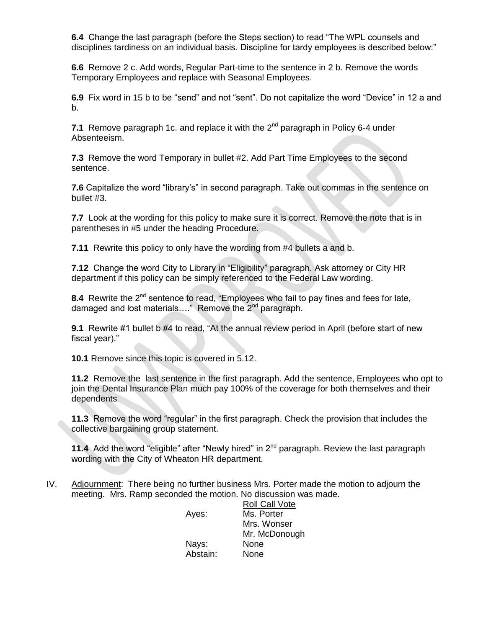**6.4** Change the last paragraph (before the Steps section) to read "The WPL counsels and disciplines tardiness on an individual basis. Discipline for tardy employees is described below:"

**6.6** Remove 2 c. Add words, Regular Part-time to the sentence in 2 b. Remove the words Temporary Employees and replace with Seasonal Employees.

**6.9** Fix word in 15 b to be "send" and not "sent". Do not capitalize the word "Device" in 12 a and b.

**7.1** Remove paragraph 1c, and replace it with the 2<sup>nd</sup> paragraph in Policy 6-4 under Absenteeism.

**7.3** Remove the word Temporary in bullet #2. Add Part Time Employees to the second sentence.

**7.6** Capitalize the word "library's" in second paragraph. Take out commas in the sentence on bullet #3.

**7.7** Look at the wording for this policy to make sure it is correct. Remove the note that is in parentheses in #5 under the heading Procedure.

**7.11** Rewrite this policy to only have the wording from #4 bullets a and b.

**7.12** Change the word City to Library in "Eligibility" paragraph. Ask attorney or City HR department if this policy can be simply referenced to the Federal Law wording.

8.4 Rewrite the 2<sup>nd</sup> sentence to read, "Employees who fail to pay fines and fees for late, damaged and lost materials...." Remove the 2<sup>nd</sup> paragraph.

**9.1** Rewrite #1 bullet b #4 to read, "At the annual review period in April (before start of new fiscal year)."

**10.1** Remove since this topic is covered in 5.12.

**11.2** Remove the last sentence in the first paragraph. Add the sentence, Employees who opt to join the Dental Insurance Plan much pay 100% of the coverage for both themselves and their dependents

**11.3** Remove the word "regular" in the first paragraph. Check the provision that includes the collective bargaining group statement.

**11.4** Add the word "eligible" after "Newly hired" in 2<sup>nd</sup> paragraph. Review the last paragraph wording with the City of Wheaton HR department.

IV. Adjournment: There being no further business Mrs. Porter made the motion to adjourn the meeting. Mrs. Ramp seconded the motion. No discussion was made.

|          | <b>Roll Call Vote</b> |
|----------|-----------------------|
| Ayes:    | Ms. Porter            |
|          | Mrs. Wonser           |
|          | Mr. McDonough         |
| Nays:    | None                  |
| Abstain: | None                  |